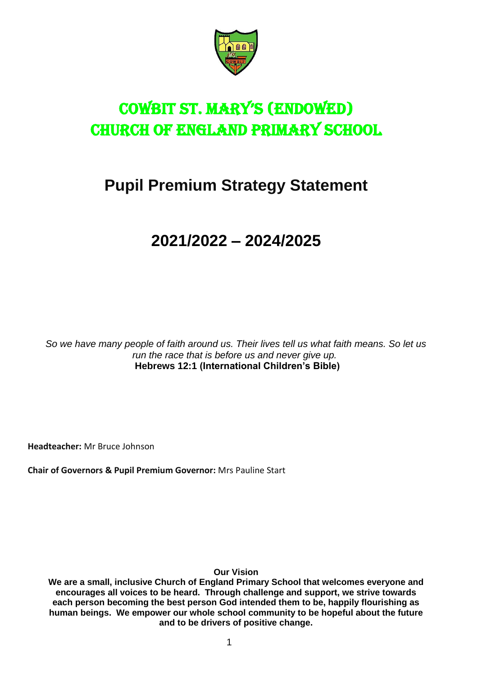

# COWBIT ST. MARY'S (ENDOWED) CHURCH OF ENGLAND Primary SCHOOL

# **Pupil Premium Strategy Statement**

# **2021/2022 – 2024/2025**

*So we have many people of faith around us. Their lives tell us what faith means. So let us run the race that is before us and never give up.* **Hebrews 12:1 (International Children's Bible)**

**Headteacher:** Mr Bruce Johnson

**Chair of Governors & Pupil Premium Governor:** Mrs Pauline Start

**Our Vision**

**We are a small, inclusive Church of England Primary School that welcomes everyone and encourages all voices to be heard. Through challenge and support, we strive towards each person becoming the best person God intended them to be, happily flourishing as human beings. We empower our whole school community to be hopeful about the future and to be drivers of positive change.**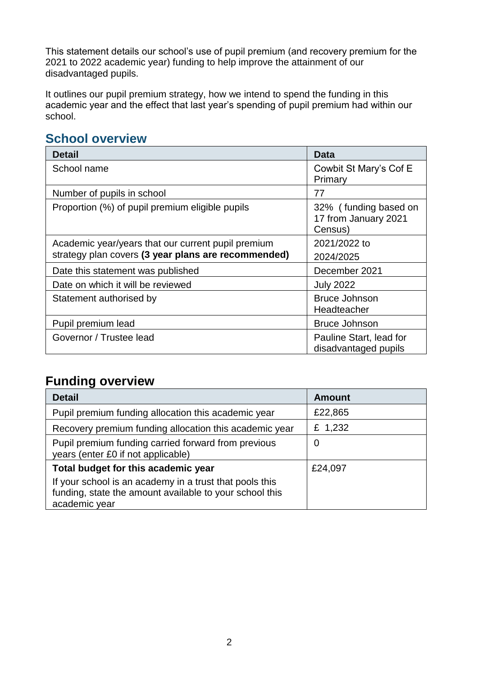This statement details our school's use of pupil premium (and recovery premium for the 2021 to 2022 academic year) funding to help improve the attainment of our disadvantaged pupils.

It outlines our pupil premium strategy, how we intend to spend the funding in this academic year and the effect that last year's spending of pupil premium had within our school.

## **School overview**

| <b>Detail</b>                                                                                             | <b>Data</b>                                              |
|-----------------------------------------------------------------------------------------------------------|----------------------------------------------------------|
| School name                                                                                               | Cowbit St Mary's Cof E<br>Primary                        |
| Number of pupils in school                                                                                | 77                                                       |
| Proportion (%) of pupil premium eligible pupils                                                           | 32% (funding based on<br>17 from January 2021<br>Census) |
| Academic year/years that our current pupil premium<br>strategy plan covers (3 year plans are recommended) | 2021/2022 to<br>2024/2025                                |
| Date this statement was published                                                                         | December 2021                                            |
| Date on which it will be reviewed                                                                         | <b>July 2022</b>                                         |
| Statement authorised by                                                                                   | <b>Bruce Johnson</b><br>Headteacher                      |
| Pupil premium lead                                                                                        | <b>Bruce Johnson</b>                                     |
| Governor / Trustee lead                                                                                   | Pauline Start, lead for<br>disadvantaged pupils          |

## **Funding overview**

| <b>Detail</b>                                                                                                                       | <b>Amount</b> |
|-------------------------------------------------------------------------------------------------------------------------------------|---------------|
| Pupil premium funding allocation this academic year                                                                                 | £22,865       |
| Recovery premium funding allocation this academic year                                                                              | £ 1,232       |
| Pupil premium funding carried forward from previous<br>years (enter £0 if not applicable)                                           | 0             |
| Total budget for this academic year                                                                                                 | £24,097       |
| If your school is an academy in a trust that pools this<br>funding, state the amount available to your school this<br>academic year |               |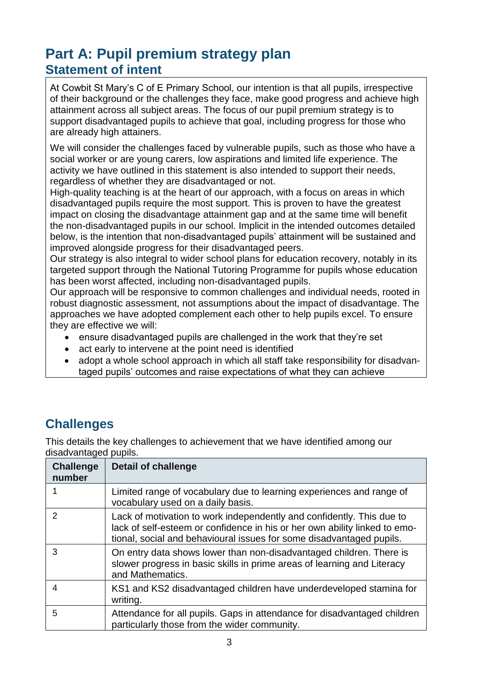# **Part A: Pupil premium strategy plan Statement of intent**

At Cowbit St Mary's C of E Primary School, our intention is that all pupils, irrespective of their background or the challenges they face, make good progress and achieve high attainment across all subject areas. The focus of our pupil premium strategy is to support disadvantaged pupils to achieve that goal, including progress for those who are already high attainers.

We will consider the challenges faced by vulnerable pupils, such as those who have a social worker or are young carers, low aspirations and limited life experience. The activity we have outlined in this statement is also intended to support their needs, regardless of whether they are disadvantaged or not.

High-quality teaching is at the heart of our approach, with a focus on areas in which disadvantaged pupils require the most support. This is proven to have the greatest impact on closing the disadvantage attainment gap and at the same time will benefit the non-disadvantaged pupils in our school. Implicit in the intended outcomes detailed below, is the intention that non-disadvantaged pupils' attainment will be sustained and improved alongside progress for their disadvantaged peers.

Our strategy is also integral to wider school plans for education recovery, notably in its targeted support through the National Tutoring Programme for pupils whose education has been worst affected, including non-disadvantaged pupils.

Our approach will be responsive to common challenges and individual needs, rooted in robust diagnostic assessment, not assumptions about the impact of disadvantage. The approaches we have adopted complement each other to help pupils excel. To ensure they are effective we will:

- ensure disadvantaged pupils are challenged in the work that they're set
- act early to intervene at the point need is identified
- adopt a whole school approach in which all staff take responsibility for disadvantaged pupils' outcomes and raise expectations of what they can achieve

# **Challenges**

This details the key challenges to achievement that we have identified among our disadvantaged pupils.

| <b>Challenge</b><br>number | <b>Detail of challenge</b>                                                                                                                                                                                                  |
|----------------------------|-----------------------------------------------------------------------------------------------------------------------------------------------------------------------------------------------------------------------------|
|                            | Limited range of vocabulary due to learning experiences and range of<br>vocabulary used on a daily basis.                                                                                                                   |
| $\mathcal{P}$              | Lack of motivation to work independently and confidently. This due to<br>lack of self-esteem or confidence in his or her own ability linked to emo-<br>tional, social and behavioural issues for some disadvantaged pupils. |
| 3                          | On entry data shows lower than non-disadvantaged children. There is<br>slower progress in basic skills in prime areas of learning and Literacy<br>and Mathematics.                                                          |
| 4                          | KS1 and KS2 disadvantaged children have underdeveloped stamina for<br>writing.                                                                                                                                              |
| 5                          | Attendance for all pupils. Gaps in attendance for disadvantaged children<br>particularly those from the wider community.                                                                                                    |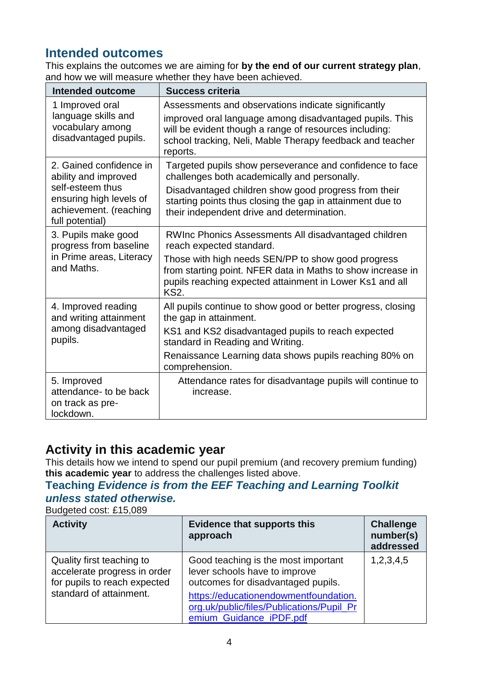# **Intended outcomes**

This explains the outcomes we are aiming for **by the end of our current strategy plan**, and how we will measure whether they have been achieved.

| <b>Intended outcome</b>                                                                                                                     | <b>Success criteria</b>                                                                                                                                                                                                                                                          |
|---------------------------------------------------------------------------------------------------------------------------------------------|----------------------------------------------------------------------------------------------------------------------------------------------------------------------------------------------------------------------------------------------------------------------------------|
| 1 Improved oral<br>language skills and<br>vocabulary among<br>disadvantaged pupils.                                                         | Assessments and observations indicate significantly<br>improved oral language among disadvantaged pupils. This<br>will be evident though a range of resources including:<br>school tracking, Neli, Mable Therapy feedback and teacher<br>reports.                                |
| 2. Gained confidence in<br>ability and improved<br>self-esteem thus<br>ensuring high levels of<br>achievement. (reaching<br>full potential) | Targeted pupils show perseverance and confidence to face<br>challenges both academically and personally.<br>Disadvantaged children show good progress from their<br>starting points thus closing the gap in attainment due to<br>their independent drive and determination.      |
| 3. Pupils make good<br>progress from baseline<br>in Prime areas, Literacy<br>and Maths.                                                     | RWInc Phonics Assessments All disadvantaged children<br>reach expected standard.<br>Those with high needs SEN/PP to show good progress<br>from starting point. NFER data in Maths to show increase in<br>pupils reaching expected attainment in Lower Ks1 and all<br><b>KS2.</b> |
| 4. Improved reading<br>and writing attainment<br>among disadvantaged<br>pupils.                                                             | All pupils continue to show good or better progress, closing<br>the gap in attainment.<br>KS1 and KS2 disadvantaged pupils to reach expected<br>standard in Reading and Writing.<br>Renaissance Learning data shows pupils reaching 80% on<br>comprehension.                     |
| 5. Improved<br>attendance- to be back<br>on track as pre-<br>lockdown.                                                                      | Attendance rates for disadvantage pupils will continue to<br>increase.                                                                                                                                                                                                           |

## **Activity in this academic year**

This details how we intend to spend our pupil premium (and recovery premium funding) **this academic year** to address the challenges listed above.

### **Teaching** *Evidence is from the EEF Teaching and Learning Toolkit unless stated otherwise.*

Budgeted cost: £15,089

| <b>Activity</b>                                                                                                      | <b>Evidence that supports this</b><br>approach                                                                                                      | <b>Challenge</b><br>number(s)<br>addressed |
|----------------------------------------------------------------------------------------------------------------------|-----------------------------------------------------------------------------------------------------------------------------------------------------|--------------------------------------------|
| Quality first teaching to<br>accelerate progress in order<br>for pupils to reach expected<br>standard of attainment. | Good teaching is the most important<br>lever schools have to improve<br>outcomes for disadvantaged pupils.<br>https://educationendowmentfoundation. | 1,2,3,4,5                                  |
|                                                                                                                      | org.uk/public/files/Publications/Pupil_Pr<br>emium_Guidance_iPDF.pdf                                                                                |                                            |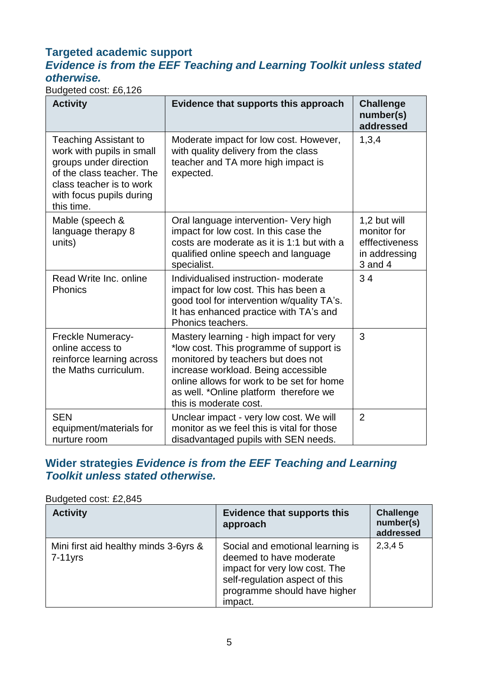#### **Targeted academic support**  *Evidence is from the EEF Teaching and Learning Toolkit unless stated otherwise.*

Budgeted cost: £6,126

| <b>Activity</b>                                                                                                                                                                        | Evidence that supports this approach                                                                                                                                                                                                                                             | <b>Challenge</b><br>number(s)<br>addressed                                |
|----------------------------------------------------------------------------------------------------------------------------------------------------------------------------------------|----------------------------------------------------------------------------------------------------------------------------------------------------------------------------------------------------------------------------------------------------------------------------------|---------------------------------------------------------------------------|
| <b>Teaching Assistant to</b><br>work with pupils in small<br>groups under direction<br>of the class teacher. The<br>class teacher is to work<br>with focus pupils during<br>this time. | Moderate impact for low cost. However,<br>with quality delivery from the class<br>teacher and TA more high impact is<br>expected.                                                                                                                                                | 1,3,4                                                                     |
| Mable (speech &<br>language therapy 8<br>units)                                                                                                                                        | Oral language intervention- Very high<br>impact for low cost. In this case the<br>costs are moderate as it is 1:1 but with a<br>qualified online speech and language<br>specialist.                                                                                              | 1,2 but will<br>monitor for<br>efffectiveness<br>in addressing<br>3 and 4 |
| Read Write Inc. online<br><b>Phonics</b>                                                                                                                                               | Individualised instruction- moderate<br>impact for low cost. This has been a<br>good tool for intervention w/quality TA's.<br>It has enhanced practice with TA's and<br>Phonics teachers.                                                                                        | 34                                                                        |
| Freckle Numeracy-<br>online access to<br>reinforce learning across<br>the Maths curriculum.                                                                                            | Mastery learning - high impact for very<br>*low cost. This programme of support is<br>monitored by teachers but does not<br>increase workload. Being accessible<br>online allows for work to be set for home<br>as well. *Online platform therefore we<br>this is moderate cost. | 3                                                                         |
| <b>SEN</b><br>equipment/materials for<br>nurture room                                                                                                                                  | Unclear impact - very low cost. We will<br>monitor as we feel this is vital for those<br>disadvantaged pupils with SEN needs.                                                                                                                                                    | $\overline{2}$                                                            |

### **Wider strategies** *Evidence is from the EEF Teaching and Learning Toolkit unless stated otherwise.*

#### Budgeted cost: £2,845

| <b>Activity</b>                                     | <b>Evidence that supports this</b><br>approach                                                                                                                            | <b>Challenge</b><br>number(s)<br>addressed |
|-----------------------------------------------------|---------------------------------------------------------------------------------------------------------------------------------------------------------------------------|--------------------------------------------|
| Mini first aid healthy minds 3-6yrs &<br>$7-11$ yrs | Social and emotional learning is<br>deemed to have moderate<br>impact for very low cost. The<br>self-regulation aspect of this<br>programme should have higher<br>impact. | 2,3,45                                     |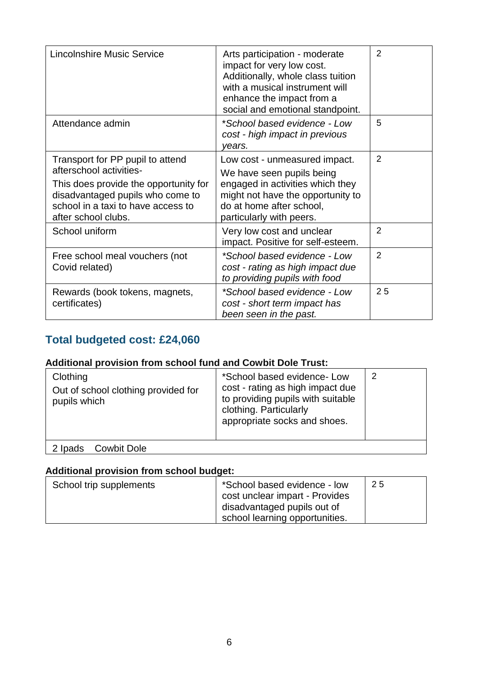| <b>Lincolnshire Music Service</b>                                                                                                                                                                     | Arts participation - moderate<br>impact for very low cost.<br>Additionally, whole class tuition<br>with a musical instrument will<br>enhance the impact from a<br>social and emotional standpoint. | $\overline{2}$ |
|-------------------------------------------------------------------------------------------------------------------------------------------------------------------------------------------------------|----------------------------------------------------------------------------------------------------------------------------------------------------------------------------------------------------|----------------|
| Attendance admin                                                                                                                                                                                      | *School based evidence - Low<br>cost - high impact in previous<br>vears.                                                                                                                           | 5              |
| Transport for PP pupil to attend<br>afterschool activities-<br>This does provide the opportunity for<br>disadvantaged pupils who come to<br>school in a taxi to have access to<br>after school clubs. | Low cost - unmeasured impact.<br>We have seen pupils being<br>engaged in activities which they<br>might not have the opportunity to<br>do at home after school,<br>particularly with peers.        | $\overline{2}$ |
| School uniform                                                                                                                                                                                        | Very low cost and unclear<br>impact. Positive for self-esteem.                                                                                                                                     | $\overline{2}$ |
| Free school meal vouchers (not<br>Covid related)                                                                                                                                                      | *School based evidence - Low<br>cost - rating as high impact due<br>to providing pupils with food                                                                                                  | $\overline{2}$ |
| Rewards (book tokens, magnets,<br>certificates)                                                                                                                                                       | *School based evidence - Low<br>cost - short term impact has<br>been seen in the past.                                                                                                             | 25             |

### **Total budgeted cost: £24,060**

#### **Additional provision from school fund and Cowbit Dole Trust:**

| Clothing<br>Out of school clothing provided for<br>pupils which | *School based evidence- Low<br>cost - rating as high impact due<br>to providing pupils with suitable<br>clothing. Particularly<br>appropriate socks and shoes. |  |
|-----------------------------------------------------------------|----------------------------------------------------------------------------------------------------------------------------------------------------------------|--|
| Cowbit Dole<br>2 Ipads                                          |                                                                                                                                                                |  |

#### **Additional provision from school budget:**

| School trip supplements | *School based evidence - low   | 25 |
|-------------------------|--------------------------------|----|
|                         | cost unclear impart - Provides |    |
|                         | disadvantaged pupils out of    |    |
|                         | school learning opportunities. |    |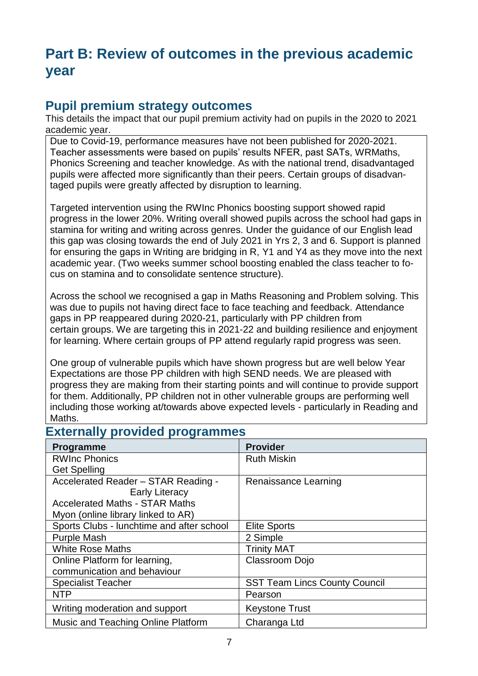# **Part B: Review of outcomes in the previous academic year**

## **Pupil premium strategy outcomes**

This details the impact that our pupil premium activity had on pupils in the 2020 to 2021 academic year.

Due to Covid-19, performance measures have not been published for 2020-2021. Teacher assessments were based on pupils' results NFER, past SATs, WRMaths, Phonics Screening and teacher knowledge. As with the national trend, disadvantaged pupils were affected more significantly than their peers. Certain groups of disadvantaged pupils were greatly affected by disruption to learning.

Targeted intervention using the RWInc Phonics boosting support showed rapid progress in the lower 20%. Writing overall showed pupils across the school had gaps in stamina for writing and writing across genres. Under the guidance of our English lead this gap was closing towards the end of July 2021 in Yrs 2, 3 and 6. Support is planned for ensuring the gaps in Writing are bridging in R, Y1 and Y4 as they move into the next academic year. (Two weeks summer school boosting enabled the class teacher to focus on stamina and to consolidate sentence structure).

Across the school we recognised a gap in Maths Reasoning and Problem solving. This was due to pupils not having direct face to face teaching and feedback. Attendance gaps in PP reappeared during 2020-21, particularly with PP children from certain groups. We are targeting this in 2021-22 and building resilience and enjoyment for learning. Where certain groups of PP attend regularly rapid progress was seen.

One group of vulnerable pupils which have shown progress but are well below Year Expectations are those PP children with high SEND needs. We are pleased with progress they are making from their starting points and will continue to provide support for them. Additionally, PP children not in other vulnerable groups are performing well including those working at/towards above expected levels - particularly in Reading and Maths.

## **Externally provided programmes**

| <b>Programme</b>                          | <b>Provider</b>                      |
|-------------------------------------------|--------------------------------------|
| <b>RWInc Phonics</b>                      | <b>Ruth Miskin</b>                   |
| <b>Get Spelling</b>                       |                                      |
| Accelerated Reader - STAR Reading -       | Renaissance Learning                 |
| <b>Early Literacy</b>                     |                                      |
| <b>Accelerated Maths - STAR Maths</b>     |                                      |
| Myon (online library linked to AR)        |                                      |
| Sports Clubs - lunchtime and after school | <b>Elite Sports</b>                  |
| <b>Purple Mash</b>                        | 2 Simple                             |
| <b>White Rose Maths</b>                   | <b>Trinity MAT</b>                   |
| Online Platform for learning,             | Classroom Dojo                       |
| communication and behaviour               |                                      |
| <b>Specialist Teacher</b>                 | <b>SST Team Lincs County Council</b> |
| <b>NTP</b>                                | Pearson                              |
| Writing moderation and support            | <b>Keystone Trust</b>                |
| Music and Teaching Online Platform        | Charanga Ltd                         |